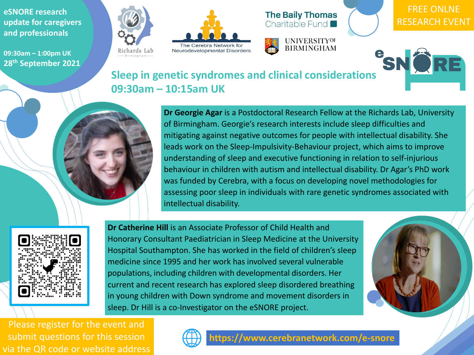**eSNORE research update for caregivers and professionals**

**09:30am – 1:00pm UK 28th September 2021**









**Dr Georgie Agar** is a Postdoctoral Research Fellow at the Richards Lab, University of Birmingham. Georgie's research interests include sleep difficulties and mitigating against negative outcomes for people with intellectual disability. She leads work on the Sleep-Impulsivity-Behaviour project, which aims to improve understanding of sleep and executive functioning in relation to self-injurious behaviour in children with autism and intellectual disability. Dr Agar's PhD work was funded by Cerebra, with a focus on developing novel methodologies for assessing poor sleep in individuals with rare genetic syndromes associated with intellectual disability.







**Dr Catherine Hill** is an Associate Professor of Child Health and Honorary Consultant Paediatrician in Sleep Medicine at the University Hospital Southampton. She has worked in the field of children's sleep medicine since 1995 and her work has involved several vulnerable populations, including children with developmental disorders. Her current and recent research has explored sleep disordered breathing in young children with Down syndrome and movement disorders in sleep. Dr Hill is a co-Investigator on the eSNORE project.

# **09:30am – 10:15am UK**

Please register for the event and submit questions for this session via the QR code or website address

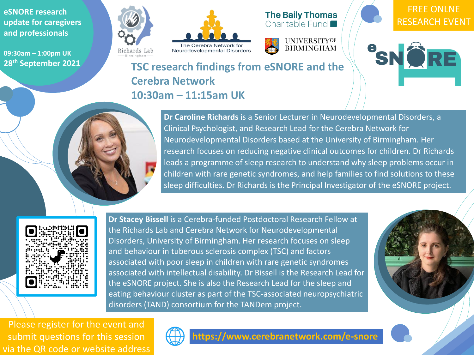**eSNORE research update for caregivers and professionals**

**09:30am – 1:00pm UK 28th September 2021**









#### FREE ONLNE RESEARCH EVENT

SNORE



**Picture of speaker** 



**Dr Caroline Richards** is a Senior Lecturer in Neurodevelopmental Disorders, a Clinical Psychologist, and Research Lead for the Cerebra Network for Neurodevelopmental Disorders based at the University of Birmingham. Her research focuses on reducing negative clinical outcomes for children. Dr Richards leads a programme of sleep research to understand why sleep problems occur in children with rare genetic syndromes, and help families to find solutions to these sleep difficulties. Dr Richards is the Principal Investigator of the eSNORE project.



**Dr Stacey Bissell** is a Cerebra-funded Postdoctoral Research Fellow at the Richards Lab and Cerebra Network for Neurodevelopmental Disorders, University of Birmingham. Her research focuses on sleep and behaviour in tuberous sclerosis complex (TSC) and factors associated with poor sleep in children with rare genetic syndromes associated with intellectual disability. Dr Bissell is the Research Lead for the eSNORE project. She is also the Research Lead for the sleep and eating behaviour cluster as part of the TSC-associated neuropsychiatric disorders (TAND) consortium for the TANDem project.

## **TSC research findings from eSNORE and the Cerebra Network 10:30am – 11:15am UK**



Please register for the event and submit questions for this session via the QR code or website address